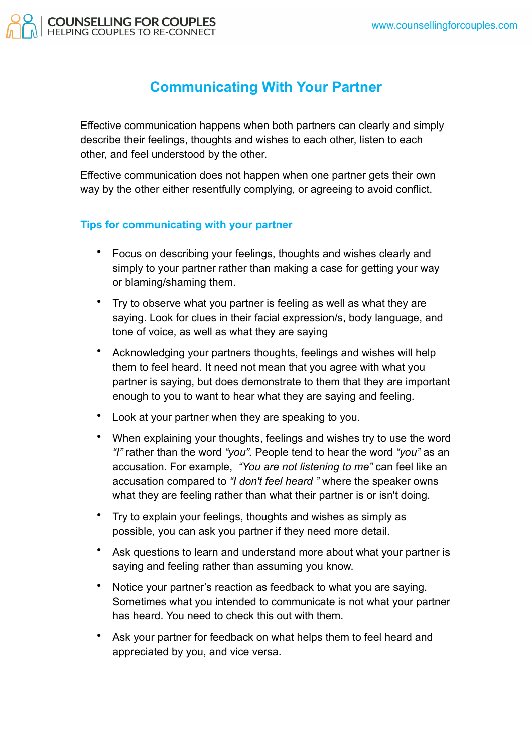

## **Communicating With Your Partner**

Effective communication happens when both partners can clearly and simply describe their feelings, thoughts and wishes to each other, listen to each other, and feel understood by the other.

Effective communication does not happen when one partner gets their own way by the other either resentfully complying, or agreeing to avoid conflict.

## **Tips for communicating with your partner**

- Focus on describing your feelings, thoughts and wishes clearly and simply to your partner rather than making a case for getting your way or blaming/shaming them.
- Try to observe what you partner is feeling as well as what they are saying. Look for clues in their facial expression/s, body language, and tone of voice, as well as what they are saying
- Acknowledging your partners thoughts, feelings and wishes will help them to feel heard. It need not mean that you agree with what you partner is saying, but does demonstrate to them that they are important enough to you to want to hear what they are saying and feeling.
- Look at your partner when they are speaking to you.
- When explaining your thoughts, feelings and wishes try to use the word *"I"* rather than the word *"you".* People tend to hear the word *"you"* as an accusation. For example, *"You are not listening to me"* can feel like an accusation compared to *"I don't feel heard "* where the speaker owns what they are feeling rather than what their partner is or isn't doing.
- Try to explain your feelings, thoughts and wishes as simply as possible, you can ask you partner if they need more detail.
- Ask questions to learn and understand more about what your partner is saying and feeling rather than assuming you know.
- Notice your partner's reaction as feedback to what you are saying. Sometimes what you intended to communicate is not what your partner has heard. You need to check this out with them.
- Ask your partner for feedback on what helps them to feel heard and appreciated by you, and vice versa.